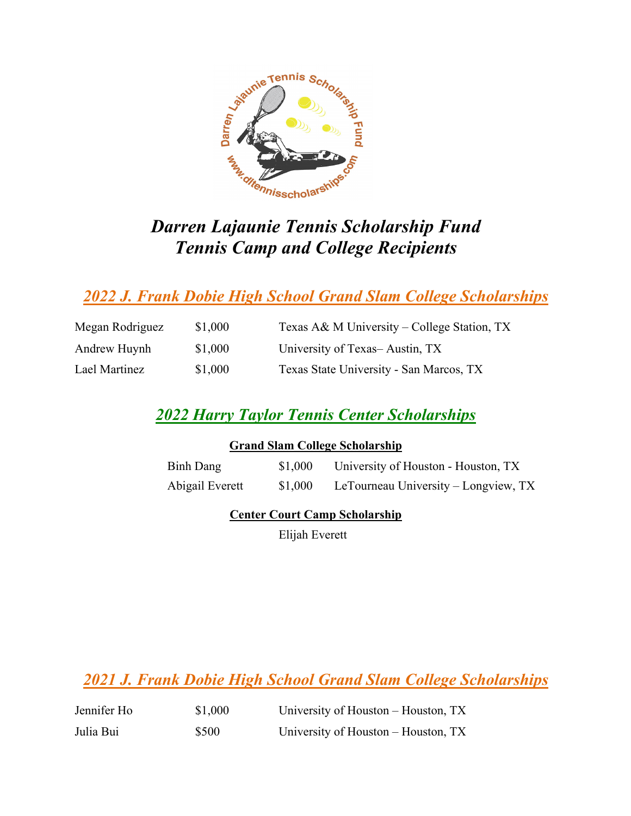

# *Darren Lajaunie Tennis Scholarship Fund Tennis Camp and College Recipients*

## *2022 J. Frank Dobie High School Grand Slam College Scholarships*

| Megan Rodriguez | \$1,000 | Texas A& M University – College Station, TX |
|-----------------|---------|---------------------------------------------|
| Andrew Huynh    | \$1,000 | University of Texas-Austin, TX              |
| Lael Martinez   | \$1,000 | Texas State University - San Marcos, TX     |

## *2022 Harry Taylor Tennis Center Scholarships*

| <b>Grand Slam College Scholarship</b> |         |                                      |  |
|---------------------------------------|---------|--------------------------------------|--|
| Binh Dang                             | \$1,000 | University of Houston - Houston, TX  |  |
| Abigail Everett                       | \$1,000 | LeTourneau University – Longview, TX |  |

### **Center Court Camp Scholarship**

Elijah Everett

*2021 J. Frank Dobie High School Grand Slam College Scholarships*

| Jennifer Ho | \$1,000 | University of Houston – Houston, TX |
|-------------|---------|-------------------------------------|
| Julia Bui   | \$500   | University of Houston – Houston, TX |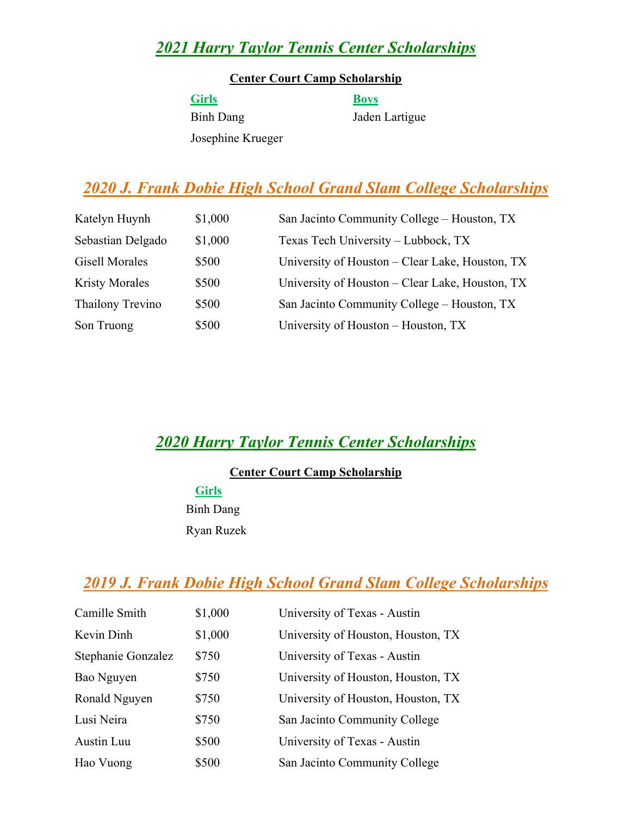## *2021 Harry Taylor Tennis Center Scholarships*

#### **Center Court Camp Scholarship**

**Girls Boys** Binh Dang Jaden Lartigue Josephine Krueger

## *2020 J. Frank Dobie High School Grand Slam College Scholarships*

| Katelyn Huynh         | \$1,000 | San Jacinto Community College - Houston, TX     |
|-----------------------|---------|-------------------------------------------------|
| Sebastian Delgado     | \$1,000 | Texas Tech University - Lubbock, TX             |
| <b>Gisell Morales</b> | \$500   | University of Houston – Clear Lake, Houston, TX |
| <b>Kristy Morales</b> | \$500   | University of Houston – Clear Lake, Houston, TX |
| Thailony Trevino      | \$500   | San Jacinto Community College – Houston, TX     |
| Son Truong            | \$500   | University of Houston – Houston, TX             |

## *2020 Harry Taylor Tennis Center Scholarships*

### **Center Court Camp Scholarship**

**Girls** Binh Dang Ryan Ruzek

## *2019 J. Frank Dobie High School Grand Slam College Scholarships*

| Camille Smith      | \$1,000 | University of Texas - Austin       |
|--------------------|---------|------------------------------------|
| Kevin Dinh         | \$1,000 | University of Houston, Houston, TX |
| Stephanie Gonzalez | \$750   | University of Texas - Austin       |
| Bao Nguyen         | \$750   | University of Houston, Houston, TX |
| Ronald Nguyen      | \$750   | University of Houston, Houston, TX |
| Lusi Neira         | \$750   | San Jacinto Community College      |
| Austin Luu         | \$500   | University of Texas - Austin       |
| Hao Vuong          | \$500   | San Jacinto Community College      |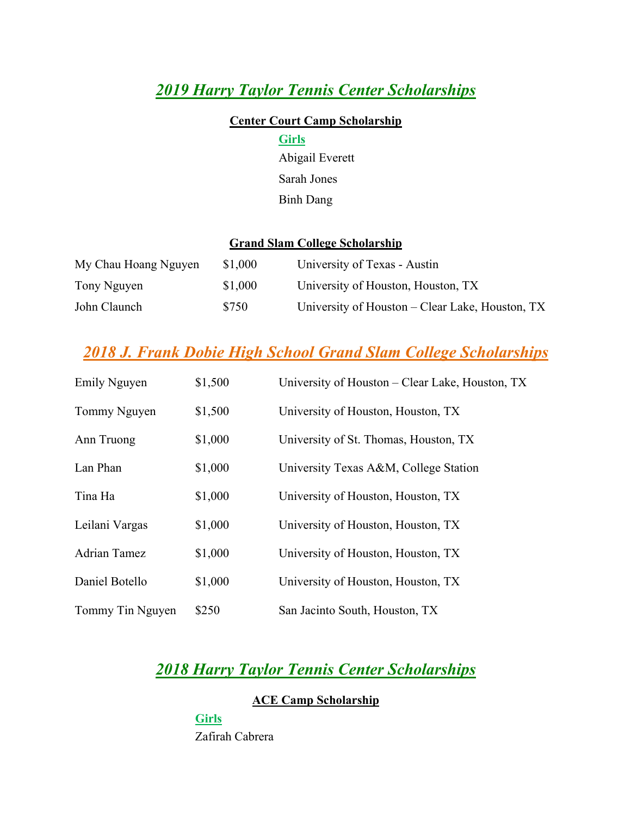## *2019 Harry Taylor Tennis Center Scholarships*

#### **Center Court Camp Scholarship**

### **Girls**

Abigail Everett Sarah Jones Binh Dang

### **Grand Slam College Scholarship**

| My Chau Hoang Nguyen | \$1,000 | University of Texas - Austin                    |
|----------------------|---------|-------------------------------------------------|
| Tony Nguyen          | \$1,000 | University of Houston, Houston, TX              |
| John Claunch         | \$750   | University of Houston – Clear Lake, Houston, TX |

## *2018 J. Frank Dobie High School Grand Slam College Scholarships*

| Emily Nguyen     | \$1,500 | University of Houston - Clear Lake, Houston, TX |
|------------------|---------|-------------------------------------------------|
| Tommy Nguyen     | \$1,500 | University of Houston, Houston, TX              |
| Ann Truong       | \$1,000 | University of St. Thomas, Houston, TX           |
| Lan Phan         | \$1,000 | University Texas A&M, College Station           |
| Tina Ha          | \$1,000 | University of Houston, Houston, TX              |
| Leilani Vargas   | \$1,000 | University of Houston, Houston, TX              |
| Adrian Tamez     | \$1,000 | University of Houston, Houston, TX              |
| Daniel Botello   | \$1,000 | University of Houston, Houston, TX              |
| Tommy Tin Nguyen | \$250   | San Jacinto South, Houston, TX                  |

### *2018 Harry Taylor Tennis Center Scholarships*

### **ACE Camp Scholarship**

**Girls** Zafirah Cabrera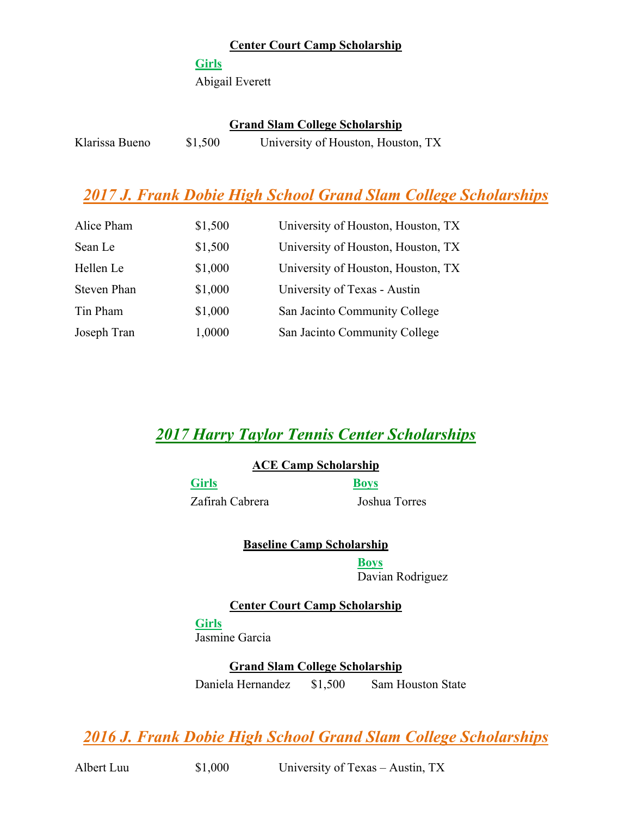### **Center Court Camp Scholarship**

#### **Girls**

Abigail Everett

#### **Grand Slam College Scholarship**

| Klarissa Bueno | \$1,500 | University of Houston, Houston, TX |  |
|----------------|---------|------------------------------------|--|

## *2017 J. Frank Dobie High School Grand Slam College Scholarships*

| Alice Pham  | \$1,500 | University of Houston, Houston, TX |
|-------------|---------|------------------------------------|
| Sean Le     | \$1,500 | University of Houston, Houston, TX |
| Hellen Le   | \$1,000 | University of Houston, Houston, TX |
| Steven Phan | \$1,000 | University of Texas - Austin       |
| Tin Pham    | \$1,000 | San Jacinto Community College      |
| Joseph Tran | 1,0000  | San Jacinto Community College      |

### *2017 Harry Taylor Tennis Center Scholarships*

#### **ACE Camp Scholarship**

**Girls Boys**

Zafirah Cabrera Joshua Torres

**Baseline Camp Scholarship**

**Boys** Davian Rodriguez

**Center Court Camp Scholarship Girls**

Jasmine Garcia

**Grand Slam College Scholarship** Daniela Hernandez \$1,500 Sam Houston State

*2016 J. Frank Dobie High School Grand Slam College Scholarships*

Albert Luu  $$1,000$  University of Texas – Austin, TX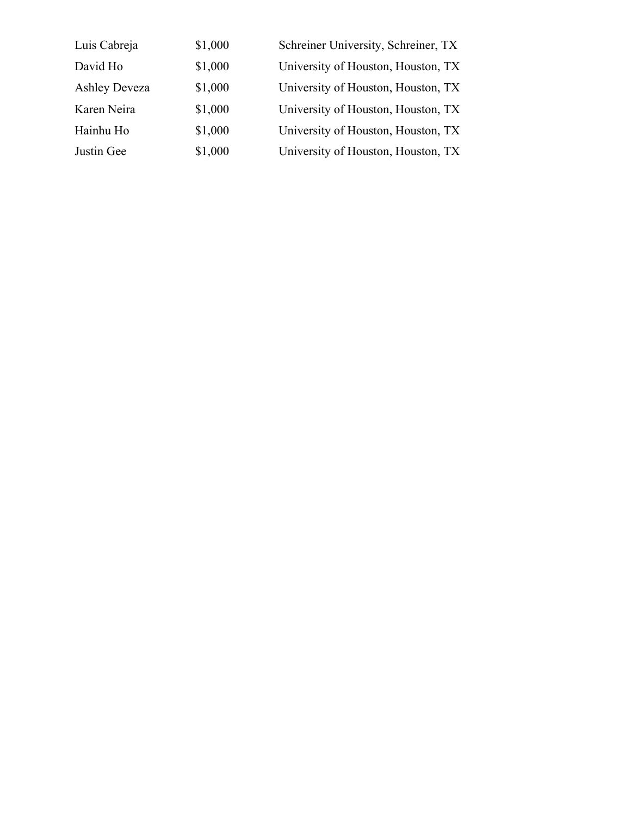| Luis Cabreja         | \$1,000 | Schreiner University, Schreiner, TX |
|----------------------|---------|-------------------------------------|
| David Ho             | \$1,000 | University of Houston, Houston, TX  |
| <b>Ashley Deveza</b> | \$1,000 | University of Houston, Houston, TX  |
| Karen Neira          | \$1,000 | University of Houston, Houston, TX  |
| Hainhu Ho            | \$1,000 | University of Houston, Houston, TX  |
| Justin Gee           | \$1,000 | University of Houston, Houston, TX  |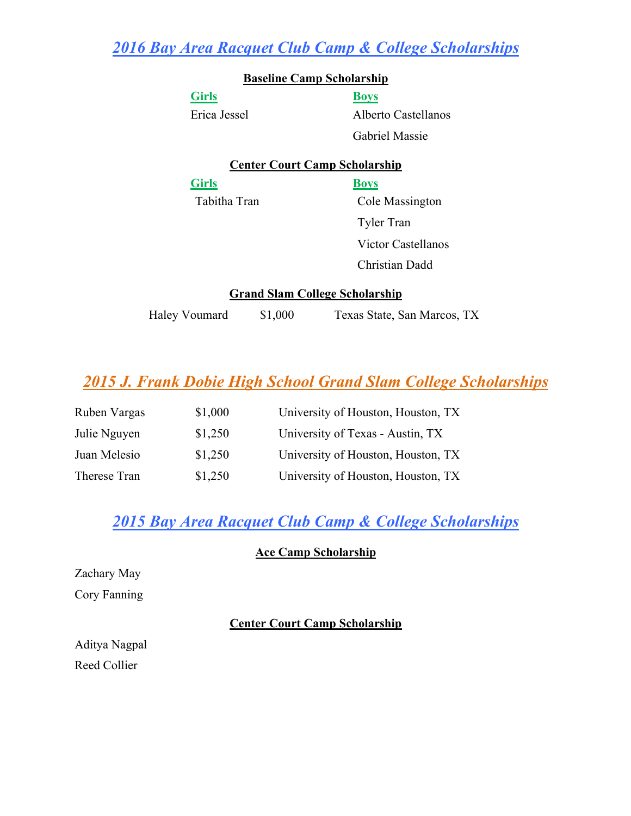*2016 Bay Area Racquet Club Camp & College Scholarships*

|               |         | <b>Baseline Camp Scholarship</b>      |
|---------------|---------|---------------------------------------|
| <b>Girls</b>  |         | <b>Boys</b>                           |
| Erica Jessel  |         | Alberto Castellanos                   |
|               |         | Gabriel Massie                        |
|               |         | <b>Center Court Camp Scholarship</b>  |
| <b>Girls</b>  |         | <b>Boys</b>                           |
| Tabitha Tran  |         | Cole Massington                       |
|               |         | <b>Tyler Tran</b>                     |
|               |         | Victor Castellanos                    |
|               |         | Christian Dadd                        |
|               |         | <b>Grand Slam College Scholarship</b> |
| Haley Voumard | \$1,000 | Texas State, San Marcos, TX           |

## *2015 J. Frank Dobie High School Grand Slam College Scholarships*

| Ruben Vargas | \$1,000 | University of Houston, Houston, TX |
|--------------|---------|------------------------------------|
| Julie Nguyen | \$1,250 | University of Texas - Austin, TX   |
| Juan Melesio | \$1,250 | University of Houston, Houston, TX |
| Therese Tran | \$1,250 | University of Houston, Houston, TX |

## *2015 Bay Area Racquet Club Camp & College Scholarships*

### **Ace Camp Scholarship**

Zachary May Cory Fanning

### **Center Court Camp Scholarship**

Aditya Nagpal Reed Collier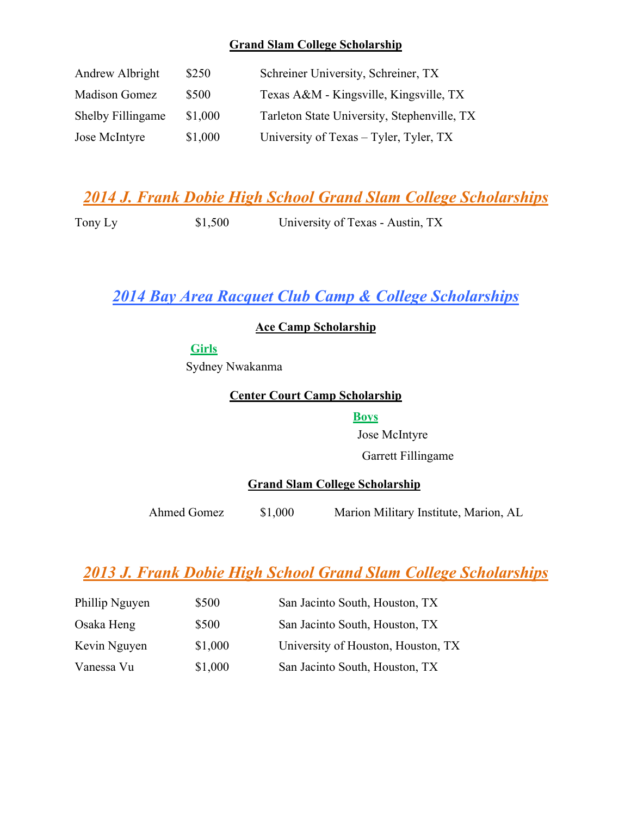#### **Grand Slam College Scholarship**

| Andrew Albright      | \$250   | Schreiner University, Schreiner, TX         |
|----------------------|---------|---------------------------------------------|
| <b>Madison Gomez</b> | \$500   | Texas A&M - Kingsville, Kingsville, TX      |
| Shelby Fillingame    | \$1,000 | Tarleton State University, Stephenville, TX |
| Jose McIntyre        | \$1,000 | University of Texas – Tyler, Tyler, TX      |

## *2014 J. Frank Dobie High School Grand Slam College Scholarships*

Tony Ly  $$1,500$  University of Texas - Austin, TX

### *2014 Bay Area Racquet Club Camp & College Scholarships*

**Ace Camp Scholarship**

### **Girls**

Sydney Nwakanma

#### **Center Court Camp Scholarship**

#### **Boys**

Jose McIntyre Garrett Fillingame

#### **Grand Slam College Scholarship**

Ahmed Gomez \$1,000 Marion Military Institute, Marion, AL

## *2013 J. Frank Dobie High School Grand Slam College Scholarships*

| Phillip Nguyen | \$500   | San Jacinto South, Houston, TX     |
|----------------|---------|------------------------------------|
| Osaka Heng     | \$500   | San Jacinto South, Houston, TX     |
| Kevin Nguyen   | \$1,000 | University of Houston, Houston, TX |
| Vanessa Vu     | \$1,000 | San Jacinto South, Houston, TX     |